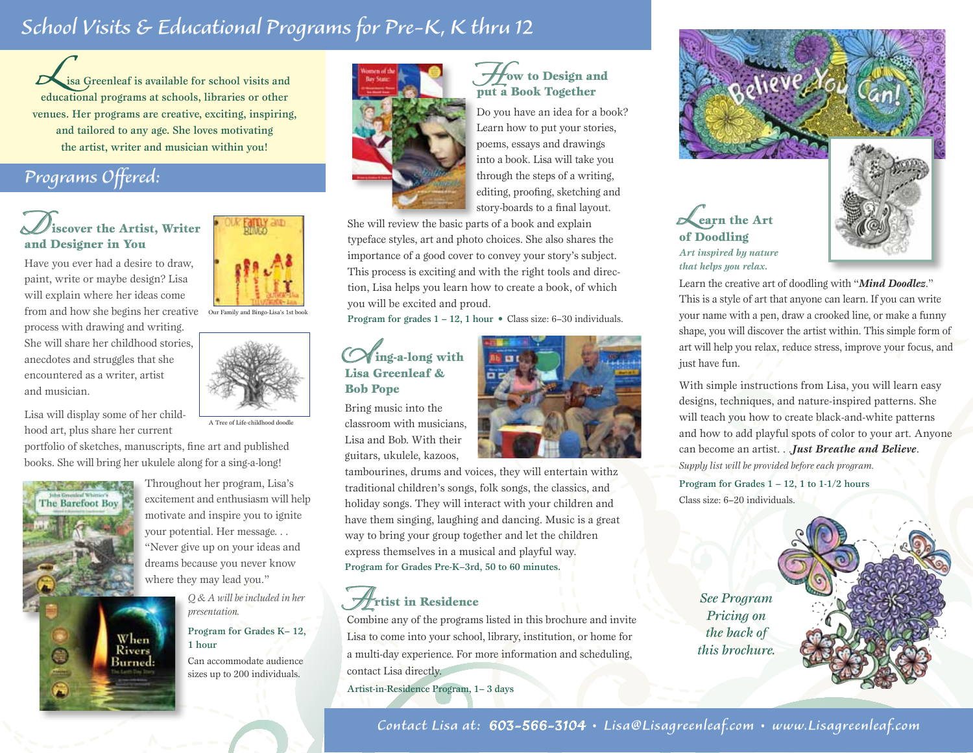# *School Visits & Educational Programs for Pre-K, K thru 12*

**Lisa Greenleaf is available for school visits and educational programs at schools, libraries or other** venues. Her programs are creative, exciting, inspiring, and tailored to any age. She loves motivating the artist, writer and musician within you!

# *Programs Offered:*

### *D*iscover the Artist, Writer and Designer in You

Have you ever had a desire to draw, paint, write or maybe design? Lisa will explain where her ideas come from and how she begins her creative Our Family and Bingo-Lisa's 1st book process with drawing and writing. She will share her childhood stories, anecdotes and struggles that she encountered as a writer, artist and musician.

Lisa will display some of her childhood art, plus share her current

portfolio of sketches, manuscripts, fine art and published books. She will bring her ukulele along for a sing-a-long!



Throughout her program, Lisa's excitement and enthusiasm will help motivate and inspire you to ignite your potential. Her message. . . "Never give up on your ideas and dreams because you never know where they may lead you."

> *Q & A will be included in her presentation.*

#### Program for Grades K– 12, 1 hour

Can accommodate audience sizes up to 200 individuals.



### **How to Design and** put a Book Together

Do you have an idea for a book? Learn how to put your stories, poems, essays and drawings into a book. Lisa will take you through the steps of a writing, editing, proofing, sketching and story-boards to a final layout.

She will review the basic parts of a book and explain typeface styles, art and photo choices. She also shares the importance of a good cover to convey your story's subject. This process is exciting and with the right tools and direction, Lisa helps you learn how to create a book, of which you will be excited and proud.

Program for grades  $1 - 12$ , 1 hour • Class size: 6-30 individuals.

### *S*ing-a-long with Lisa Greenleaf & Bob Pope

Bring music into the classroom with musicians, Lisa and Bob. With their guitars, ukulele, kazoos,

tambourines, drums and voices, they will entertain withz traditional children's songs, folk songs, the classics, and holiday songs. They will interact with your children and have them singing, laughing and dancing. Music is a great way to bring your group together and let the children express themselves in a musical and playful way. Program for Grades Pre-K–3rd, 50 to 60 minutes.

# *A*rtist in Residence

Combine any of the programs listed in this brochure and invite Lisa to come into your school, library, institution, or home for a multi-day experience. For more information and scheduling, contact Lisa directly.

Artist-in-Residence Program, 1– 3 days



Learn the creative art of doodling with "*Mind Doodlez*." This is a style of art that anyone can learn. If you can write your name with a pen, draw a crooked line, or make a funny shape, you will discover the artist within. This simple form of art will help you relax, reduce stress, improve your focus, and just have fun.

With simple instructions from Lisa, you will learn easy designs, techniques, and nature-inspired patterns. She will teach you how to create black-and-white patterns and how to add playful spots of color to your art. Anyone can become an artist. . .*Just Breathe and Believe*. *Supply list will be provided before each program.*

Program for Grades  $1 - 12$ , 1 to  $1 - 1/2$  hours Class size: 6–20 individuals.

*See Program Pricing on the back of this brochure.*

*Contact Lisa at: 603-566-3104* • *Lisa@Lisagreenleaf.com* • *www.Lisagreenleaf.com*